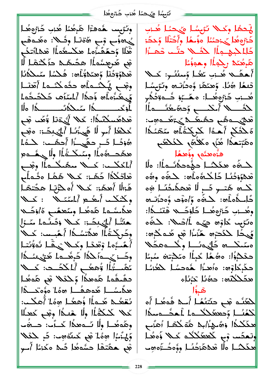لَّهُمِمَا مِّكْحِمًا هُنَبِ خَبِّهِهُا

وِنَّوَّيِب هُوَدْاً هُرِهُنَا هُزِبِ جُزَوِهُـا يُدوَّبَ ثَنِي رَوْنَهَا وِشَكَلَا: وَهُدَهُم تْتْلَا وَحَمَّفَىّْ;َه لمكسفُه لُمْ شَدْلَاتُتْ هْمِ هُرِهِشَه الْهَ مُمَهْدِ حَرَّكْتَهْا لَٰا مْحِكَوِّوْحُنْا وُه*تَ*كَاوُّلُّهِ: فُـحْسًا مِتَىحِكُ*ات*ًا وِتْبِ هُكْسُواْه حِثَوكُسُوا أَتَعْسَا فَي هَدُوْهُ وَحَدًا أَعْمَلُه صَلَّحَدَهُمْ وَالْمَسَوْمِ لَمْوَكَّسِيْسِيْتِكُمْ مِنْتَخْجُمْتَسْسِيْتِكُمْ وَلَٰا وَلَٰا مَحْمَعُسكُنَّمُا: كَـلا ﴾ لَيُـقَالَ وَٰهَب مَعِ مُحْمَدُ أَمِرٍ لَا هَيْ مَنْ الْمُهْدَمِنَ وَهُمْ هُوَصًا ضَرِ حَفَّىٰہُا أَحقَـٰ، حَـٰمًا هصفْر الْمَشْكَسَةُ الْمَسْمَعَةِ وَالْمَسْمَعَةِ وَمِنْ الْمَسْمَعَةِ وَمِنْ الْمَسْمَعَةِ وَمِنْ ألمككمه: كملا معَمْلُك وألم وقب هْاتْكْدًا خَفَّ: كَــلا هَٰعًا هِثْـملَّى فَرَالًا ٱمضَرَ: كَــلا أُه كَـرُّبَـا هجَّتهَـا وكتنكسه أمعُده ألمئند\ : تمك هدَّسنَـه| هَهمُـا وِمَعمَــم هَ/وَكَـــلا هنَّنَا ٱلْمُهْبِكَةِ: كَــلا وَكَـنُـدَا مَنْـرًا وِدَرِكِمْشَا مِكْتِسُدًا أَحَبِــب: كَــلا أَهْبِرْهِ وَقَعِدْ الْمَحْلِي وَقَالَ الْمَوْتُمَارِ وكَهَ عَنْ الْمَسْمَعَ الْمُكَاهِرِدَ مِنْ جَاءِ كَمَّــتُّهَّأَا وُهِعُــعِ ٱلْمَكْـَــدِ: كَـــلا دَهُمفُه! هُوَهِـٰاً وَ لِكَـٰلا هُم هُوهُـا هدًا الله عليه عليه الله عليه الله عليه السلم بُعْعُكُمْ هُــوَلًا وُهِعُـا هِوْاً أُهكُــد: حْمَلا حَمْكَثُمَاْ وِلَا حْمَـدًا وِتْبِ حَمِـلًا وهَٰومُكُ ولًا تُـوهدُا حُــرَّب: حــرَّفُ وَلِيَّبُوا هِهُمْ هُمْ كَمِنْتَهِوْمَ: ثُمْ لَمُحْلًا هْمِ همَّتقَا حِسُّوهُا ثَـٰهِ وَكَنْنَا أُسِر

يجتمع النعرزه الشوش الأكما وأعطى جَرَّوهُا حَذَرُوهُا وَنَّمُا وأَجْتَلَا وَحَجَّزَ كَلْمَحْبِيْ وِمُلَا حَثَمِ دَتَبٍ دْهِـرُا |هَرِهُمُمْ رَحِجِهُ |وِحِجَوْمُا أَهقَــلا هُــزبِ مُعُــل وَمِعلُــٰبٍ: كَــلا تْىغَا ھُنَا. وِّھمْكُمْ وُّەدْتُى وِنْزَىسْا هُـــزبِ كُرْرُهِ هُـــا: ۖ هَــَــَرْوَ كُـــدَوْكُمُ ۖ لأَصْلا أَسْلَبِ وَحِدَّمَتُ مَلَا تى بەينىڭ كەڭمىگە بىرگەك ئىككەن. هَكْتُكُمْ أَحْمَا كُرِكْتُهُ مُتَقَدُمًا ەھَبْتىمما ھُنَى ەڭلاھَى لْمُلْكَسَى فأوهثم وؤهما لِهِ مَعْدَا حَهُّوحَهُنَّـوَا!: وَلَا هْدُوۡوَٰئُـٰلَٰ خَالَٰکُۖ، وَٰٓءُهُ: ۖ حَـٰٓهَٰهُ ۚ وَٱوۡهُ كُلُّه هُسْبِ كُلِّ لَّا هُتَعَكَّلْكُلَّا وَهُ كُلِّىكُومُاه: ۞مَوْمِ وَاوْوَى وُوَدَٰرْتِيهِ وهُــزبِ خَرْوِهُــا خَاوْخَـــد قَتَنُــدًا: ەئۇب ئاۋە دېمە ئاكىلا: خۇە يُحِطَ لِمَكْحَرَهِ هُنُمَاً هُوَ هُدَكُمْ ؟ مئىكى ھەسلىم باسكىنى ھ حَكَبُوًّا: وَهُمُّا كَبِئًا وَكَثَبَتْهُ مُبِئًا حَكِّبِكَاوْهِ: ٥أهـزُا هُ٥حسُـا حَعْزَـُـا هكَـلْكْتَهِ: حَهُـُلُّ تَـدُبُلُّ هِ **ئگ ذا** لِحْمَنُـه هُـم حنّنتُمُـل أَسـم فَـه مُسل أَه تَحْمُنُا وَحِعْفَلاَنَّــہِ الْمَذَّــهِمَاْ عكَّكْمًا وَهُىئِ اُبِكَ هُوَكُهْمَا اُهْبَى وتَعضَبَ وَبِ لَمُحَمَّلُكُمْ كَتَلًا وَّهَ مُنْظَ محككما ولًا مْدْهَٰزْدُنُما ووُّوحُــتُوهِب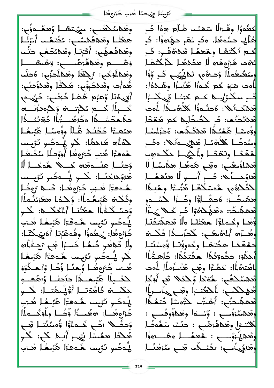المُومُ في المصرِّرة المُومَّة

وِقْدْمَكْݣُمْبِ: مِيُتَمْمَ أَوْهِمُحَوْبٍ: ههَٰنُـا وِهْدُفَدْسَـى: عَثْنَفَـٮ أُجَنُـٰا وقداهُمهُب: أُتْزِلْـا وقددتَتْهُم حتَّـت وِتْعَمْلُوْكُمْ: رَْحَظْظُ وِتْعَمْلُحَنَّى: هَٰحَتُّ هُد/ُت وِهْدُكُرِوْٓٔ ۚ مَٰلِّكُۖ وَهُدُوۡكُـٰبٌ: أَقِيمُ مَا أَهْمَا مَنْ أَسْرَبَ مَنْ مَنْ أَسْرِيَةٍ لِلْمَرْجَعَةِ مِنْ أَسْرِيقَ أَحْسَنَةٍ مِنْ كَــــبِلَما كَــــــمِ كَثْبَتــــفَ وَكِبُودُنْتـــمِ حكْمحْسُــكُا هَحُرمُــــتُمُّا دُرْسُــكُا هنعــتْ ا حُحْسُــمْ هَٰــلاً وِؤْمِسُــل هَبُسُــل لْحُمْلُه هَٰدِيهَا: لَكُمْ لُمُّعَضُو تُوَّسِت هُوعْزَا هُنِب كُرْوَهُا أُوْوُدِلًا مَمُدَّمَدًا وَحسُل هسُــوهُـره حَمِــلا هُـوحُـــل لُل ھْلۇھلگىلا: گىر ئى؎كىر ئۇسىم هُـهِـدْا هُــزبِ خُرْوِهُــا: خَـــــــمْ رُوحُــا وثَكْةِ هُبُمُّماًا: وَحْمَٰا هِعْنُنُوَاْ وَحسَّىكَـةُـاْلِـــمعَتَّتَــا ٱلْمَكَـــكِ: كُـــو لْمَحَٰىبِ نَرۡمِـٮ ـمُـۡمَقۡۃٖا ۚ حَہُمۡا مُـٰٓنِبِ حَرَّوهُمْ الْمَوْتُمَوْمُ وَالْمَعْمَرُ الْمَنْ الْمَنْ الْمَنْ وَجَهَدَ وِلًا كَمْهُدِ حُـمُـا كَـبِّ! هِـ رَجِـتُٰٱه لْحُرِ إِنَّـٰهَضُرِ نَرُٓىِـنَا هُـُـَهُـٰهُـٰ هُبُـِهُـٰ } هُدَابٍ حَرْوَهُمْ وُحِبُ أَوْحُمْ وَاحِكُوْوْ للدُّــبِلًا هُبُـمــدًا حرَّحتُــا وَاهَْفــهِ حكْســة كَاهُّـٰٓةَتْسَـا ٱوْٓيُّـىعُنْسَا: كُــــوِ لْمَحَسِ نَرْمِس هُـُمُعَةُ الْمُبَـمُـلِ هُـزب كَرْوَهُــا: «هَمــُزَا وَّحُــا وِلَمْوَكَـــولَا وَحشَــه اصَّــم مُــملوَّا وُّمسُسُــا هَـــم هَٰٓدُا مَعۡسًا يُنۡ أَبِهٖ كَـٰٓ ۚ كُـُر لِمُوَضِّبِ نَوْمِينَ لِهُوَوْءَ الْمُؤْمِنَ مُوْجَدِ لْحَعْدَوُا وَهَٰٓ زَالًا عَنْدَعَتْ هُـٰلُعْ ہِوَٰٓا کَے هُأَلِي حشَوهُا. وَكَرِ عُقْرِ حَذَّهُوَا: كَرِ لِّدِمِ ٱكْتَمْا وِحْمَدُا شَدَهَٰفَـبٍ: كَـرِ - 1⁄8 هُنُوهُه لُ*ا* مكَمْهُـا لِمُكْتَمْـا وْسَٰعَنْدِهُمَا أَوْدِيَّةَ مِنْ كَلِيِّيْ ۖ وَوَٰٓا أَه حبِّز لَحم كُداً هُنُّكُمْ وَهُلِمَانَ گے مگرُم کے کو گزئے کی گئے! قَدْمَكْـزَالْمْ: هَدَسُـوزُا لْمَدُّرَهُ ـدًّا لِمُوتَ قُدْمَتْكُمْ: ثُمِ حَشَدُابِهِ كُمْ هُمْشَا وَوُّدْسَا هَمْسُدًا مْدْكَــكَمْـ هَدْ: مَدْ: الْمُسَار ومُدَدَّل للأَهُمُا هَلِيَ دَلَّا: وَكَبِ لمقتل وتغتل وألئها مكموب أَقْتَطَاؤُ يَعْنَى: وَقِي هَوَهُمَا هَذَا سُمَّا لَهُ أَقْدَوُهِـــــزَهِ: كَــــزِ أُمــــرِ لَا هتَّـفَـــُــا لِكَحْدُهُ مِ هُوسَكُفْ مُنْهَدْ وَهَبِمَا عكَمحُـــز: هُحِفَّــاَوْٓا وحُـــزُا حَسَّــوو قىھكىكە: ەقىۋىدۇۋا ئىرىمىلا ئىلا وُْهَا وِكُـهاوْٓا هِعَيَّنْهَا هِلًا هُـهِكَتَحُنْهَا وِهُــْ;ه أَلمَّكَب: كَحَبَــدًا ثَكَــة حمْقَحْا هِدَّتْهَا وِجُووِّتْا وُومُتُنَا أَحِكُو: حَدُّوَدُمُّا حَدَّتَدُمُّا: دُاهِـتُمُّا أَ المُتمَاَّأَا: يَحَمُّـٰٓ; وِقِي هَٰذُـذُه أَا لِمُعت مُحْمَدُهُم: هُتَمْدَأُ وَحَدْكَلاً هُمْ أَوْدُاً تَعْهَلُكُبْ: لَمَلْعَتْ إ وَقِبِي حَنْسُولًا قْتَمَكَّىحَنَّى: أَهُنَّت كَتَّومْنَا كَتَمُكُّا وقَعِمْمُرْفُسِي : وَتَسْدَا وِقَعَدْفُوهُسِي : |كلتول وهُدَهُنَهُم : حنَّت سَعْوَدُ | وقداليٌّ فَرْبَعٍ : هَعْهُــا هَهْــــهُوَّا وقدئي أسب: بَعْتَبِهَا قِبْ مُنقُبُنَا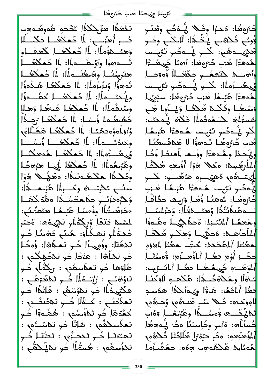تتعُدُّا مِتَزِجِكُدًا حُصْحِهِ هُومَحُدِهِت كَــِ أُهزَٰنـــي: لَمْ كَـمحْكُــا دَكْـــلُا وَهمَـــدوْه الْمِنْ الْمَــدْهُـــا لِكَعدهُــاو ثُـــدهؤا وأوُمثُـــدمُا!: لِمَا جَمحُكُـــا هنَّرِبِمُنُــا وهَعْنُــْــه أَا: لَمَّا خَـعَـٰكَـمُــا ثَهِ وَوَّا وَبِنَّنُوماًا: لَمَا جَمِكْكُما هُـكُووَا وهُحِنَـــه|ا: أَا خَـعَـٰكَعُـــا حُثَـــهُواْ ومَعْدَهُما!: أَا حُمْكُمُا قُدْهُا وَهِلِل كَتَمَعْدُه أَسُمًا: أَا كَعِنْطُا رَحِـدًا وُاوْلُمُوْمِحِمَّمَـٰا: لَمْا خَـْمَكْعُـا هْڪَـْلَاهُو وكبهُمْــــولُم! وألا كَـمْحْجُبَــــل وُّمِيْــــل فَيْحَمْــزُّهِ أَلْ الْمَكْعُمَــلْ هُومِنْكُمْــلْ وهَبُعُماًا: لَما حَمكمُا لَيْها مَرْهِجًا وكَـٰـٰهُا ـِعـُـْـٰهُـٰتُـٰہُـٰدُا: ہقویُـٰہٗ ہُوٓا سِٽَ ٽِڪتِن وِجَــزا هُزِيمَــدا: وَجْوَدَتُــو حَمْـعتْـنُــدًا وهُـُمْكُمْــا ٥ﻛَﺎﺋَﺪَﺘُﻠًﺎ ﻭﻓُﻩﻣُﻤَﺎ ﻫَّﺑُﻤُﻠ ﻫَﻴْﻋَﻠَﺎ ﻫَﻴُﻌَّﻨَﻴَﻨَـٰ لمسْمْ دْتْقْا وْرِيْخْفْلُو نْجْيْهْء: ەْحْبْر كُنتُمْلُو تَنفَكُلُو: حَمْتُم كَشَنْا كُـو تَكَفَّنَا: وفْعِيداً حُـو تَعَكَّارَةًا: وَّدَخُـلَّا دُر نَمْلُهْ! : هَٰٓوْتَا دُر نَمْخُوْكُم : هَّاوْها دُو تَعكَّىبِهُمْ : رِكْثُمُّ دُو تَرَوِّقَبُ : زُنْـَــمُلًا حَـــرِ تَــْهُـتَمَــحَـــرِ :<br>قَدَّقِيهُـمُّا حُـرِ تَـدَوِّـتـمُعُ : فَـاتُـدًّا حُــرِ لَعَكَّاتَـٰبٌ : كَــَۃُلَّا حُـــو لَكَكَفَــُــهِ : كُمُّةَهْاً دُرِ لَكَؤُمِنُهِ : هُكُدَوْاً دُـرِ تعكَسكفَيَ : هُاتَلْكُو تَكْسَبُورٍ :<br>تَعْتَفَالِ كُــو تَحْكِزُورٍ : تَحَيُّلْ كُــو لْلأَفْسِقُمِ : هُسَقُلًا كُو لْلأَلِكْتُم :

كْتَرُوهُا: هَدْ ًا وِثْـلا يُـتْوَكُّم وِهْلُـو وَّوْبٌ شَكْشَى هُنْتُمُ!: لَّاسْكَبِ وِحُــرِ قَلَابُ مِنْ مَا لَمْ يَسْمَدُ مِنْ الْمَرْضَى مِنْ هُوَدَا هُنِ دُوْوَهُا: أَهْمًا كَهِمْشَا وأشمك كنعمُ وحكفتا أو وقصا فْيَتَمَّسْأَهُمْ الْمَسْرِ لِمُسْتَمَرِ لَكِّنْ الْمُعَاشِينَ هُودْرًا هُبُسُمًا هُنبِ حُرْرُوهُا: سِرُوْلِ وسَعْدا وكَكْمْ هَكْدَا وَلِي زَوِا هَي لْعُسْتُلُّ فَكُنَّهُ مُشَهَّدَهُ الْمُكْلَّةُ فَيُحَمَّىٰ: لَّكُمْ يُحْصَرُ نَرُّمِـتَ هُـُوَيْرًا هُبُـِهُـا ||هُنوب حُبْرُوهُـا لـُــهووُا لَا هَـٰهفَـسعُـُـا وهُحدًا وهُـودْ اووُّــه لِمُعدُل وَّحُـل ٱلْمُأْرِهَٰىبِيهِ: مَكْلًا هُوْا أَؤُمِعُهِ هَٰكِنَّا ا للجنسة من معنى بن هؤهُمسو: لمحسو لْهَدَىبِ نَرَّىٖىب حُـدَدْاً هَٰٓبُـمُـاً هُـزَب دَّرُوهُـا: غَمْمُـا زُهُـا زَرُهے حدَّاقْـا ٱِّـــوهَٰىدُكْتُدُا وَمِحْـــدْوُلُما: وَحَبْلِيمُــــا وهعها ألمتنا: هَدَهْكَها مِشْمَوْا أَلْمُلَحَوَّصِهِ: هَجِمُّيُ—ا وِّهِنْكُــرٍ هَجْشَــا حَمَّنُنَا أَلْمَّكُحِمَا: كَتَبَتَ حَمَّدًا لِمَوْهِ احْكُــز أُوُم حِعُــا ٱلمُؤْهَــزُم: وُّومُنْـَـا أَلْمَوَّهُـــزَهِ كَيْــِمُّنَعُــلِ تَعْبُــلِ ٱلْمُنْـــَرِّمِينَ: حْدَةُلَا وهَكُمْحُمْدُا: هَكْعُبُ لِّلْوَكْنُـل حمده المكامرة اتَهوا: هَـذَا الله عَمَّمــــو لِلْهِوْتَحِدِهِ: شَكَّلُ مَعْمٍ هُمُعَلِّمُوهِ وَحِدِهُمْ لْمَهْكَـــده وُّمسُــداً وهُبْتُمْـــا وَهَابِ كْسِلْلُهِ: ݣَامِرٍ وَكَلِمِينَا هَدَّ: إِيُّدْهِمَا ||الزَّهزَهو: وكَرِّ حَزَّةَ إِلَّ هَٰلَاظُنَّا خُلاَةُوم لِهَمِنُابِهِ هَكْشُمْهِم هِمَهِ: حَمَّقُتُوْهِ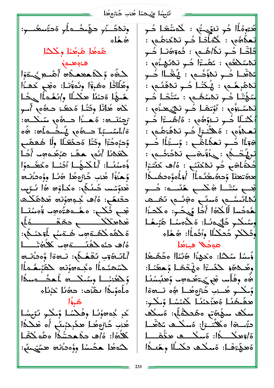وِلْلاَكْسَنُّرِ حَيْمَثُـــهِ لَٰرٍ هُحَتَّمعُنُــــر:  $\star$ la óz هُوهُا هُرهُمُا وكُلْمًا فنوهمة لْمَثَهُهِ وَلِلْمُعْتَمَةُ وَأَهْتُمْ وَلَيْ يَقْوَلُ وِهَٰلَاتْا مِمْرِۃًا وِنُمَّرُّنَـا: مِهْمٍ كَـْفَـٰزًا لحُرالْمَشْمَالِ وإِنْشَمَالِ كَمَاسَمًا لِمُسْمَدِينَ الْمَحْدَةِ لِلْمَسْمَدِينَ الْمَحْدَةِ لِلْم لك هم هُلْتْل وحُتُـل هُ دهَد حـرهُ مه أُسـو أَرْجِئْتُــْهِ: هَـمــزّْا حـــوهُم مَّمَــْـــهِ: هَهُا: «الْمَسْبَةِ لَمْ يَاتِ مِنْ الْمَسْتَمْلَاهُ وۡحَبُّوحُتۡۤا وِكۡتُا هَٰحِكَٰقَـٰلَا وِلًا هُـٯَـمَـٰـع لحقدائل أنَّدى حفَّز دَرُهُدومِد أَحُل ؤْهِمْنُـا: ٱلْمَكْنُوبُـا ٱدُّـُـا هكْتُــهِوُا وَحَنُوْا هُنِي خَرَّوهُا هُنَا وِوُّوحَٰزْتُـه ھْدۇمُــى خَىلُـكَاب: دىُــاۋە ھُا ئــوَّىب حثَىغٌ : هُ/َ گِءِهوُلُه هُدْهَكُـ ه قْبَ ثَكْبٍ: مَعْـُـەفتُوقوب وُّەمْلْلْم شماهتم المستخفض المستفكي ەَ كَتْمَدَّى مُسَمَّى مُّلَّى مُرْكَبَةٌ): ەُ/ف جئە كەُنَّــــــة وە كَلَاهُ ْـَــــا ٱلمَلَـٰهَوۡبِ نَقۡـمُـکَمِ: تَـههُا وَّهۡدَٰٓتَـه للمُعنُما الْمُجْمَعَةُ وَاللَّهُ عَلَيْهُمْ الْمُحَمَّد وَلِحْقُوْسُمِ وَسَمَدُ مِنْ الْمُحَسَّمِينَ وَسَلَمَا هِ أُهوَّىكَا بِكَنْفٍ: حَوْنًا كَبُنَا ﴾ كْبِ بُوهوُنُا وِفُكْسًا وُخْكُر نَوُضُنَا هُنسِ حُرُوهُما هكْبِدُمَنّ أَه هَكَدًا كَلاُهُ!: هُ/َ حَدْهِحتُمُ الصَّمَلَاةُ الصَّمَحَةُ لأعاهد المتسابق وأدعائه مستهدية:

لْهُتُوهُ أَلَّا حُو تَآيَى تُوَ : ۖ خُمْتُهُا حُـو لَعَكَاثَهِ : لَكُفَلُهَا حُـو لَكَكَنفُو : قُاتْسًا ضُـو ثَكَا/هُــه : `فُـەۊەُنْسَا ضُـو لْمَسْلَحْقُو : مُكَسَّرًا حُــو لَمْكَمْ أَوْمٍ : لِمَقْداً ضُــِرٍ ثَمَؤُهُــٰءٍ : لَمُقْداً ضُــِر لْمَمْبِعُسِمِ : رُمُكْنُا دُــِرِ لَمْفَلُّـمٍ : مَّهُتَّا دُــو تَمْمَّعُــهِ : مَتْشَا دُــو لْمَسْتَوْمٍ : أَوُتِهْا ضُو تَسْهَدْوَى : |گَتْـْلَا دُــو نْـْآؤِهُوم : ݣَاهُـــٰٓةْا دُــو لْعَكْفُو : هَٰكْتُنْتَوْلَ شُـو لْكَفَّوْهُـو : اَوْقِلًا حُـــو تَـعَكَلْمَتُــعِ : وَّــــَّتُٰلًا حُـــو : مِصْخُمْ بِمُأْمُرٌ: ﴿ مُصَنَّهَا } أَحْدَّهُاهُمْ دُرِّ لَمْكَتَبُّ : هُ/َ كَنُّتْبَا المَامَّتَعَلَّا وُحَدَّمَعُلُّمَا ۖ أُوْلُووُوصِّفُمَا ۖ ا قبح مَنْسًا هُكْب هَنُســه: حُـــو هُدَّسًا لَّا كُلُّهُ الْأَكُمْ فَيَحُـنٍ: مَكْحَـٰ;َا ومَمْكُــرِ كَايُحاسًا: هَـكَوْمِمُــا هَبُــمُـا وكَحْكُمْ حَحَكْمُلَا وزُثْمَاًا: ﴿ هَٰلَا عودُلا قِيزِهُا وَّسْلَمْ مَكْلًا: وَكُمْ أَلْ أَمَّنَالَ وَكُشُمْا وهَكُمُو كَمُتْزَا هِ يُتْهْلُ وَحَعَمًا: هُه وِقُلُم يَجْتَدَهُمْ يَجْتَدَمُو الْمُسْتَمَارِ وُبِكْــرِ هُـــزَبِ خُرُّوهُــا ۞ه تـــ20أ ھقَىعُ*نْ*ا ەَھزَىن*ىْل* كْنى*ئىل ۋ*ىكىر: سَلْكَ سَؤْرَةٌ وَهُدَدْتُمْ): ەَسَلَكَ دَّوْسِرْهَا مَكْثَبِّةٍ وَمِيكُمْ مَحْمَّقْسَا هُ/وْهِكُمُ الْمَا: هَمِكْمُ هُ هَذُّهْ ا ەَهِيْتِقْهِا: ەَسكىك دېڭىلا وهْمَلْهُ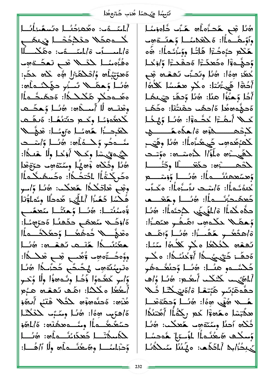أَلْمَكْــدُه: ەهُـٰدَىتُــل ەنَـُىـھُـنِلُنُــل لمستهل وأوقد وتكفيك المضمور ة /اسساً ف المستَ في: وهَكْسساً ەقْتُەممُــا حْتَــىلا شَــى تَـعصَّــة وَم ەُهْجَيْبُهُ، وُٱصْلِّكُمْرَٰرُ ۚ وَۚ كَلَّا مِنْ لَهُمْ حَصَّرٍ: ھُنُـا وَحفَــلا سُــزُہِ حهُـكْــهِٱه: ەھّــەدڭر ھَگىنىداً: ەَدھَىشُــەلُّا وهْلْــهِ لَٰا أَمـــدْه: هُـُــا وَحكَــع كْدْهُومُـْا وكُـــع حتَّنَـٰهُــا: هُــفَــع لمَعْدِد ُ! هَدَا هُرُوسًا: هَنُّى اللهَ مئىــەكـو ۇللىــەْلمە: «ەْبُـــا ۋاپتىــت لحَيْحَقِيْهِمَا وِحْمَلاً أَوْحُمَا وِلَا حَمْدَاً! هُلًا وِكَـُدُه وْهِهُـٰا وِمَّمِّةَهِــ حَمِّةِهْدا وَحَرِجُكُمُ الْمُتَدَّلُ الْمُسَعَّمَةُ وَالْمَسَارَةَ وبْبِي هْاتْكْݣَا هُعْكْما: ھُنْـَا وَٱسو فُكْسُا كَعُنْا ٱلْمَيِّيْ هَٰوَجُلَا وِشَاؤُنَا ۋەممُلْتَــا: ھُلُــا وَحَلَّنُــا مَّعْمُـــمِ ەُ/وَكَــد مُعْتَقَــم حَكَفـُـا ەَحرَّەـُــا: وهُدُّــــلا دُوهُعُـــا وُحعَّـلاَثُـــولُمُ هَمَّنْنُدُمُ الْهُنْدِي نُهْشُدُهِ: هُنُدا وِؤُهِ شُـُـٰٓءُوهِ۔ وُهُـب مْب هُــٰـٰهُا: وْتُرْمِمُتُوْمِد لِحُمْضُمْ حَجَّمُكُمْ الْهُنُـلَا وَّامِرٍ كَعُثُموٗا ۖ وَّكُما وِنُـهِ وَوُّا وِلًا وُكُــرِ أَعفَقًا مَكْكَمًا: اهَـف نَفْقَـهِ هـرُم هُنْزَه: هَحنُهُهْزُه ۖ لِكُمْلاً ۚ فَتَنُعُ أَنْتُهُو كَاهِجَمِب هِهَا: هُنُـا مِمَّـبُبِ لِكَنْكُنْـا لِكَمْسِكُنْـَ لِمَعْمَدِينُـْـواْرِهِ: ﴿ وَلَــا وُحِنْطِمُــا وِرَهُمْعُنُــهِ لَمْ وَلَا ٱلصَّـا:

ھُنُا ہُم ھُڪزُه اُھ ھُنُم ڪُاهوَمُما ا وَأَوْحَفُّے اُلَّ ہُ حَمْدَ اللّٰہِ کَے اُلْحَمَدُ مِنَّہُ وَجَمَعَتَ وَجَمَعَتَ هَيْكُمْ حَرْوَحُــتْزَا كَلْتُـا وَوُخُتُـوَـلًا: ۚ ثَهُو وَحِهْدَةَا وَحُعِدَّةَا وَحَقَّدَتَا وَاوْحُـا كَتْغُو رَوْءًا: رَفْعًا وِنُصَبَّى نُصْفُرُه قِيم أَدُةًا فَيْ زُنْدَا: مِكْدِ هِمَّسُا لَلْأَهُ! أَجَا وَحَزُوْا هِنَا: هُنَا وَحِفَزٍ حَيْبِيهَا ا ەَحِيُّەھەُدا ەُ/حىگ حمْىتْنْل: ەحُھْ: كَــلا أَعكُــتْزَا حُدُّــدَوْٓا: هُـُــا وَٰلِيَــُـا كرده مكافحة المكام كمسمح كَلْمَرْهُدومِ حَيْجَدْ أَوْمَاًا: (16 وفَيْ لمَعْيِبِّةِ مِلْؤُا لِمُؤْمِنِّةٍ: مَؤْسُد لحقَّم ثَرْهِ: حَكْف اللَّهِ وَكُنُّـــا وُهمُعهمُشُــداًا: هُنُـــا وُوَمْـــــــع كُعِفْتُمِلًا: هَ/ْسْتِ بِرَّتْوَمِلًا: مِكْتُب كَعِنْهُ بِدَٰزُنُـــداً ا: ﴿ وَإِنَّــا وَجَهْدَــــم حِدُّه خُدمًا وْالْمَوْلِيِّي حَرْحِتُماًا: هُنَّا وُههَلا مِكْمَيْنِ اهْبِفُ هَيْمَةُ!: ةَاهِتَعُبِ هَقَسَةًا: هُنُساً وَاهَــْ ئعقه للكلغا مكر كلُهُ مَنا: ەَدَهَـٰٓ; خَشَیْبِیُہِ الْہَرُسُنُہُ الْہَنَہُ اللّٰہَ وَ حُلّٰہِ وَ عَلَیْہِ ا كَكْشُــوو هنُــا: ﴿ وَلَٰهُ الْمَعْلَــوهُـو أَلْمَائِهِ حَسَّلَا أَعْلَى الْمُحَمَّدِ: هُنَّا وُا فَ حفَّمَتْبُس هَبْتَهْا هُاهْنِ كُنْنَا شُلا هُــــهُ هُنَّى هِهُا: هُـُـــا وُحِكَّةَهْـــا هِدَّتِيْبَا مِحَمَوْزَا جُمْ رِجِّةُ أَا أَمَّتِنُكُمَّا ئُكْلُو أَحِلًا وَمُئَةَلُومَ هُعِكْمٍ: ﴿ وِّمكُ هَمَعُنُماُ الزُّكِلِ هُوصِمَا لْتَامُكُمْ لَمَانُوْمٍ : هَ مُكَمَّلاً مُبَانُكُمْ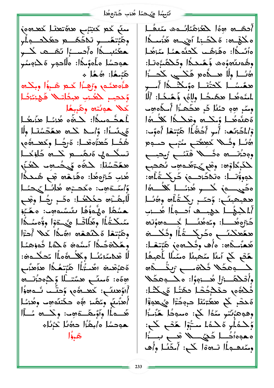مَمّ كَمْ كَتَبْرُبْ هُدَّتْهَنَّا كَهْدُوهَ حَكْتُبِكُمْ أَوْتَسَبَرُا تَتَقَسَّمَا كُسْبَر هوجسًا مأَوَمُدًا: ملَّاجور هَـٰذوميُر كَبْسُمَا: شَهْا \* فأهعنُم وَوُقِيًّا كُنْعَ هْبِؤُا وِبِكْلُهِ وُحجب كعُن، مبحُلتك فَهِنْتُوكُ تملا حولته وتمبيعًا أهدً عمدًا: لِحَدَّة و هُزْسًا هزَّمْعًا يَّكِمُداً: وَّاسِيْدْ مَسْدَ مِعْصَمُتْدَ وِلَا هُحُــا حَعتُوهُــا: هُرَجُــا وكَعـــوهُ م هفَضَمُنْا: لَحَقُّه فَيحُمَّصِ لَهُمَّنَ هُننِ خَرَّوهُا: وَفَنِمْهِ هُم هُنْدُاْ وَٱسۡـتَـوَمِــ: مَكَـحَــتَرِهِ هُدَائُــا ﴾ حمّــا لَّابِهُــٰٓ; مَـٰـٰهُــٰدُا: وَكَــٰ رَجُــا وَبْحـٰـعِ لْمُسْتَمَا وَيُتَوَفَّطْ بِتَيْسَوِينَ وَلَمْتَوْ مَمْكَدُّلُّا وِهَٰلِلنَّا ۞ هَيْ وَوَّى مِنْدُا وهَبْتُهْلُ هُكْتُهُمْ رَوَّمُكُمْ كُلا أَحَتْزَلَ وهَّكُمْ كُلُّمَا أَسْئُدْهُ ۚ كَكُمَا خُدْعَكَ لًا مْدْمَنْدِيْنُــا وكْلْــرْهُومُا حْدِكْــورْه: ەْھۇھْدە (ھُدَّۃُڵٞڵۿۜڔٞتمُۮؙڵۿڒؘڡۮۜٸ وَهُه: هُملُبِ هِمَّتْ الْمُ ذَوْدَتْ وَ أَآوِّهنسٌم: كَعَنْدُهُمْ وَجَنُّبُ شُنَّهُووُا أُهنَّتُم ومُكَّنز هُءٍ حكَّنتُه وب وهُزْسُلْ هُـــواًا وأَوُّـمُـــة هِـــ: وكُــــه ـُـــأَا هوحسًا ه/بعُزًا حدُّلًا كَبُرُلُه **ئگرؤا** 

حَوِوَّتْــا: دَلَمْكُرْنَــــهَ كُرِيكْـــةُلُمُتَ: هَ أَهْلِ مِنْ الْمَسْرِ هُوَ مُسْرَحَ اللَّهُ مِنْ الْمَسْرِينَ هدمبتها: وُحِمْدٍ رِكْتُهُاهِ وِهُنُما ألملجؤكم حهبن أصبوأا محنوب دَرْوهُـــا: ومُهمُنُـــا يُــــــە۞وُلَه همُعنْدَمَـــم هَرَجْـــةُ أَا وِدُكْـــة هُمُوْسِمُهِ: ه/ُف وِثَكِلِهِ فَيُسْهَلُهُ: هَدْمٍ ﴾ آملًا مُعْمِلًا ممْلًا أُعِبِقُا لمسبوعكلا فُلَاهْسِبِ رُبْتُسَلَاهِ وأُثْلُكُمْ زُلُ هُــزووُا: مكــوعكُلا ثَلادُه حِنْدْرِحُتْ| حِمَّتُا هَيْكْتَا: مَّحْصِرٍ ﴾ مَعَّتِتْمَا حَرِوجُةًا ۚ وَيَحْمَدُ وِهِجِمْ مُنْهُمْ لَا لَمْ: مَسْجَدًا هَٰٓ ٱسْتَرَا وَجْحَفُلُو هَجْهَا مِتْبُوْا هُتْمِ كُلِّ: معوم و اللہ اللہ علی اللہ علی اللہ علی اللہ علیہ اللہ علیہ اللہ علی اللہ علیہ اللہ علی اللہ علی اللہ ومَّدَهُ عَالَمَ الْسَوْءَ الْكُلْمِ: أَمَثَنُنَا وِأَف

أُحْشَــْ «ەْلَــْهَٰزْهَّىْلْــْـە مَىْـفَــل

مَكْتُمِ مَا يَكْفِيهَا أَيْ مِنْ هَذَا اللَّهَ

ەُلِّىْدا: ەفْزْھُمْ كَْحِلُّەْ هْمَا مْمْرْهْدا

وِهُمللُهوُهِ وَحَمْدِهُا وِكَـٰهُـبُونَـا:

هُنُسا ولَّا هِــدُهِ وَكَنْـــي كَحَــزًا

همَّسُا كَحتُصًا هَوَ كُشْـدًا أُنْـــو

لمُدْهِدا هِ هَدُدا وِلِلِهُمْ وَهُدَدًا: أَلْلَ

وِمَّدٍ وَهِ دَمُلاً کَرِ هَکَّھَـٰٓاً أَسَلَّاهِ وَمَ

هُهشُما وُحْدِه وِتَعْلَـٰهُا لِكُـٰـٰةُا

وْالْمَحْرَبُ، أَسِ أَحُرْثُمُّا هَبَّتْهَا أَهوًى:

هُنُا وِئَــلا كَعِعْتَــمٍ مُبْرَسٍ حسومٍ

وودائسته وقُسماً فَتَنُبُ رُحِبَبِ

للدِّيكُمْ وَمِنْ وَهُمْ يُجْتَمَدُوهُ لَمُعْصِمٍ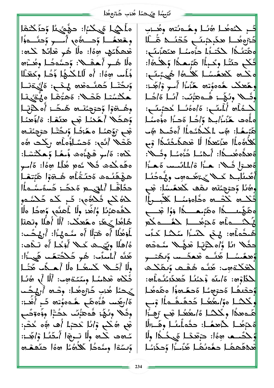القَتْكُمْ أَمْرِدْهِهُمْ : إِيْكُرِهْ لِرِكْمِلْهِ وِهْعَمُــا وِّحـــةُٯ أُنـــو وِّحتُــەوُّا مُعطَّمِّها وَهَا: وَلَا هُو مَعَائِلًا لَحْدَه: ەلْا ھُـــر أَــمڤــــلا: وَحِسُّــمَــٰـا وِهُــْتُ ذُلُمب هِوَٰا: أَو لَٰٓالِمُكُنَّوُا ذُكُلَّ وَكَعَنْـلَا لِتَمَثَّلُ مَعْشُدُ مِنْهُمْ لَتُمْتَىٰ وَلَيْسَمَّاهِ مِنْهُمْ السَّنْمَاءِ لَّكَرْمَوْهِ لَـمُتُمَّة : مَكْتُمَا لَتَسْتُلْم وهُــةوْا وۡحوۡحِنۡلَـه هَـمَـٰـٰٓ; أُه لأَزۡلَـٰا وَهكُمْ أَهْدَا هُم هنَّمَا: هَ/وَهنَّا هْــم رْوَّهمُــا مَـمَّرْضًا وُبِـمَّنْـا حرْجِمْنْـه هُصْلاً أَنُوب: هُصِمًاؤُوماً۞ رِجُلُت ۞ه Le: هُ/سِ ڤَهِڹُوهِ وُسِعًا وَسِكْتِسَا: ەقەلْدە َقْلا ئەم مُلَّا ھِەْا: ەُٱسو هؤَهَّلُـهِ \$َحَلَّـةُ أَه هُــوَّةٍ | هُبَّـقُــا حَدَّاقًا أَلمَّى مِ هَدَدَ مَسَّمَسُوا لِمَهُمْلِمٍ ثَلِمُهُمٍ: ثَمِ كُلُّهِ كَلَّسُمو لْحُفُومُ ُمَّا وُاهَٰ: وِلَّا لَمَعُو وَّوَحًا وَلَّا هُاهُا ۚ هُذ معُعكُد: ٱلْلَهُ اُهْلَا وتعِنْلِ ـأَوْهُلًا أَه هُبْرَلَا أَه منْـه}،َّا: أَرَيْـضَــٰ: هُ/هُلَا وِيَّ\_ه كَمِلاً أَوْحُـاً أَه نَــأَمَد: هَٰلُهُ ٱلْمٰدَّات: هُو كُلاَّتْتَمَّـ فَيْ†ًا: ولًا أَكَــــلا كَـــمعُـــل ه لَلا أَــمـــدَّمــ هَتُـــل ثَلاه مْلامْما وِمْمُتْمِوت: أَلَّا أَ\ هُنْـا حْكِمًا هُنبِ كَبْرُوهُا: وِتَـه أَرَلِيَكُــ كْارْبَعْت قُنُّوهُم ۖ هُـُوهُ بُهْ وَاللَّهُ وَاللَّهُ ۖ إِنَّهَا ۖ إِنَّهَا ۖ إِنَّهَا ۖ إِنَّهَا وِثَلا وِنُهُ; فُوهبُّسُ حجُبَّا وِؤُووَهُبِ هْمِ هُكُم وۡاٰئا تَعۡتِبا أَف ﴾ُه مُحۡم: عُنه عليه ولا تُبْهَا أَحدُنَا وَاهَد: وُبِسُدًا وَمُدَجًّا كَلاُهُمُّا 16% حَنَّفَـهِ

كْمِ لِكُمْهُمَا هُنُا وِهُـُمْتُهُ وَهُـنِبِ دَّرُوهُـــا هكْبِحْبَسَــ كُحْسُــه شُــلَا وهُتبُدُا لِكُتبُنا حزّْوسُا مِنْعَزَّبَبٍ: قُكُم حَتْنًا وِكَبِمًا هَبْعِجًا وَحِكْمَا: ولْدُه لْاَهْمُسُا لْمُذْهَا هُيْبَسِّ: وهَعكَد هُدهُدُه هُنُدًا أَسِرٍ وْاهْدَ: وْشَىٰ وِيُكْتَ فَسَمِعْتُوْبَ: أَسُلَّ هَاصُلَّ لْمَمْلُو ٱلْمُنَــب: هَاهِهُنُــا مُحَبِّنَــب: ومأوت هَنَّهُ أبكا وَاكُلَّ وَحَدًّا وَوْوَعُمَلَ أَهْبُسُمَا: ﴿ وَ الْمُدَارُدَهِ أَلْهَ مُعَالِمٌ وَ وَ الْمُسَلَّمَ لِكُرُّهَ مِلَّا هِمَّكُمْ اللَّا هُمِكَمَحُنَّدُا وَ بِ هُهِدُّههُداُ: أَحِمْدًا دُزُّه ُما وضُلاً: أَوْهِدِ إِنَّ شَكَّا: حَذًّا وْالْمَلْسُبْتَ وَحَذًّا أَهْدِيُاجِيمْ كَمِيلا كَيْتَوَهُدِهِ وَإِيْحَاضًا وْهُنَا وَحَوْجِئْتُمْ بِـهُفْ لِلْعَمَّسَاءِ: شَيْ قُدْ بِهِ كَثَــهِ وَذُاووْمُــا كَلَاُبــوِ)َا وهَهُمْسِــداً وهُبُـمــداً وَوُا قَبَـــو لَهُكَـــــــه أَمْ مَكْرِمُهِـــــــا كَــهَــــــــــه كُــهِ لَّمُحُماً وَالْكُمْ الْمُحَمَّا لَّكُمَّا كُلُّفَ حثَلًا اللَّا وُأُهِ حَتَّهُا هُؤُلًّا شُهْدَه وُهمُسُلْ هُلُـه شَعفَــب وُبِـهُـْب لِمْتَدَهُ مِنْ هُدًى وُلِكَدْهِ لِكَلَاوُهِ: هَ/ملَه وْحِنْنُا خَعْكَانُنُدَاهِ: وُحثَنفُا هُجرْهِنُا هُجِمُبُنْ مِكْمُودًا وِكْنْمَا ەَرَّا مَغْعُما خُفْشَىماً ق |صَّـوهِدًا وكَــُمَــا هُ/مِعْعُـا قِبِ رَهِــزًا وُحَرِّهُــا ۖ حَرْمَحُمُــا: ۖ حَثَمَلَّمَـٰـاً ۖ وَفَــٰ;الُّا وُحْدَّمِ مِهْلَ: حَقِّقَا مَحْكُمُ وَلَا أَهْلَاهُهِمَا حَمْدَتُهُا هُنَيْرًا وَحَذَبْنَا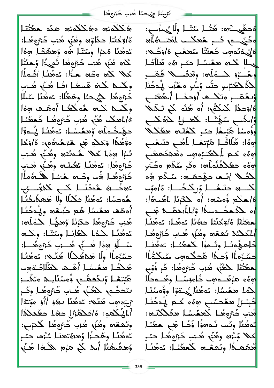هَ كَلَامَة مَنْ مَكَلَّاهُ مِنَّة مَعَنَّكَ هُ/وَكُنُنَا حَكَّاوُهِ وِهُنَّهِ هُنِبِ خَرَّوهُمَا: غَفَّقُلُ هَٰذَا وِمَّتْنَا ثَهُو وُهِهَٰدًا هِوَا لْمُلْعَ هُنَّى هُنِتَ خَرَّوِهُمَا نُصِيرًا وَحَمَّتُنَا كَمِلًا كَلَاهِ هَدَهُ هَذَا: عُمَعُنُا أَشْمَلُّا وكَّىــدْ كَــرَهْ قَــْمَعُــلْ اصُـلْ هُــزِّي هُــزبِ دَرْوهُا ۞حيحِمًا وِهْعُلًا: عَوهُنَا مَمْلًا وكمك كحده هُوكُعُما أُوصْف ووهُ! ة/لمعكَّد هُزَرٍ، هُنبِ حُزَوْهِهُما حُمِعَكُمُا حَكْمَدُه أَنْ مَحْمَّسُاً: عَمْنُكُمْ لِمُّدَوَّا ەۋھُدًا وْݣْدْدِ قْدِ هْتْهَشْدْهُو: ݣَاوْݣَدْ سُبُرا هِهُا كَمَلاً هُـٰهَنْدَه وِهُــَٰٓىٰ هُــٰٓنِبِ كَرْوَهُا: عَمْعُنُا عَعُّىْتُ، وِهُــَٰٓىٰ هُــٰٓبِ دَرْوهُــا هُــ وِدْـه هُـٰهُــا لِلْـُـهُ٥لَٰـا مُهدَٰـــة هُهدُنُـــا كَــــع كَلاَةٌـــــرَب هُوحِمُل: عُومُعُلُّا حَكْمُلًا ولَّا مُعِجَمَّحُمُـدُّلُ أُهڤف همٌسُل هُم حَزْمُهُ ولُهِحُلُل هُنِبِ حُزْوِهُا حَدْبُنَا وُهِهُـا ۖ كَـهُـلُمُ: حُومُنا كَمُا كَعُلْنَا وِمَتْنَا: وكَنْهُ مُـــأَوْ هِهُمْ هُـــبُ هُـــبِ خَبْرُوهُـــا: حمَّبُوءاُ! وِلَا هَدَهُكُما هُنَّــلا: عَوهُنَــا هُكْشًا هِمُسُـا أُقْـهِ كَعُلَّائَـةِهِـ هُبْتَهْـا وُبِكُعِفُـمٍ وُمِئْتُابِـهِ مَكْبَــٰ; لنُحثُــم للطُنَّىٰ هُــٰٓبَ كَارُوهُـا وِكَـٰـٰٓ ْ وَجَوْهِ وَمِنْكُمْ: عُجُمُلًا لِهِمْ أَأَوْ وَوُتَوْا أَمْلِكُمو: هُ/مْكْمَرُ إلَّا حِشَا حَمَّدَكُمَّا وِتُعِمْهِ وِهُزًى هُزِبِ خَرَّوهُا لَكْتَبِبٍ: غَمْعُنُا وِهَٰدُۥۢا وَٖۡدِهَٰتَعَنَا خُنۡفَ حَنۡـٰٓ، وُهفَعفُنَا أَمد كُمْ هزْمِ لِلْأَهَا هُنِّي

وَحَقَّى وَاللَّهِ مِنْسًا مِنْشَا وِلَا يُحِدُّبِ: وَدَيْ وَ حَيْنَ مَعْكَسَا مُعْتَدِهُ أَهْلَ أَلَّيْتَاتُونَ صَعْتُنًا مَعْمَى وَاوْضَىٰ: لما كم مصَّسُا حيَّ هُو هَلاَكُم وهَـــَمۡ حَــدُمَلَهُ: وَتَعۡمَـــلا قَصۡـــ لِلْمَمْلِكَتَبْسِ حَتَّ وَّخُبْرِ مِمَّنَى لِمُّمَضُلِّ وُبِعَمْبِ مِنْكُلِّهِ أَوْجِئُنَا أَيْعُعُنِي ةُ/وَحِدًا لَكُنْكُمُ: أَه هُنُه كُلِّ تَـمْلًا وَٱمكَّابٍ مَّذَكِّتَا: كَعْسَوَٰٓعَ كَاثَةَ كَتَبَ وؤْهِمًا هَبَعُا حَيْرِ كَمُنْهِ هِكَكُلًا وَوَا: هَٰلَاتْـا هَبْتُـا لَمُبِ مِنْـمَّب وهُه كمع لمُكفَّنة وهِ وَهُكَمَعْتُمْ وەَه حَعَّلَاهُنَّهُ مَالِهِ: مَكْرِ مَكْلُوم مَكْتَبِر لِكُمْ إِنُـم حَهْمَـْهِ: مَـٰٰٓهُمْ بَهُه أَكْسِهِ حَسَّمُسا وُرِبُكْتُسا: هَ/ەوَّب ة/هكْم وُهشت أو حْكَرُنَا لِمُعْسِدُا: أَه لِمُعَدُّدِمِكُمْ وَالْمُلَاحَفِ هُبِ حَمَّتُنَا هَ/وْكْتُنَا حَمَّتُا عَمَّدًا: عَمَّتُنَا أَلْمَكْنَكُمْ نَحْقُوهُ وِهُزًى هُدْبِ كُبْرُوهُا ۖ كَاهِدْمَا وِئَدْوَٰا خُمْعَنُـا: عَمْنُـا حَسَّرُهِ أَلَّا وَحِياً هَجَدُوهِ مَحْدَثَهُ أَلَّ مَعَنُنَا كَعُنَّهٖ هُـٰٓوَبِ خُرَّوهُا: كَـٰٓ وُوٕٓٓب لْكُمَا هِمَّسْمًا: عَاهُمْاً يُحْوَّلُ وِوُّومُنْهَا قُدْبِ خَرَّوهُما كَعِمَّسُا مِكَكْسُو: تَّدَهُنَّا وِنَّسَ نَدْهُوُّا وَّدًا هُم حَقَّنًا تُحلُّلُ وَمْنَوْهِ وَهُنَّىٰ هُدَىٰ كَوْوَهُما حَسِّرِ لَّعْهُدُا وَتَعْفُدُ كَمِعْنَا: يَوْمُنَا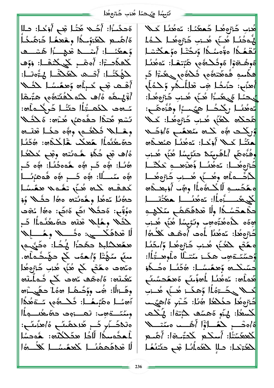هُحِكْـٰٓۥۢٓا: ٱُڪُـٰلا مَّتُـٰا هُـِي ٱُوۡكُـا: ٯـٰلاِ هُ/هَيْـعِ لِكَفَزْوُنِـدُا وهْعَجُمَا جُزْهَيْدُاْ وَحِعَدُ إِنَّ أَسْبِهِ قَوْلَ أَوْ هَشَبْهِ وَالْمُسْبَدُ كْعِكْمِــْٓة: أَهِمْــرٍ كَبِيكْتُمْــا: وَوِّف لِمُحَنُّا: أَمْــِ بِكَلاَثْـا لِخُوصَا: أَقْـعا تْبِ كَـبِلُّه وَهمَّسُـل لِكُـلا أَوّْلِيهُم هُ/فَ حَدَّه حَفَّنُتُوهُ مِتَّبِيقًا سُـهِد للنُعُــُّةُ الْمَنْـا خَرِيْحُــهِٱهِ: لَسْعِ هُتِمْا حَفُّومُهِ هُـْ;ه: هَـٰلَاثُـٰلا وهْـاللا ثُلْمُدُـه وِبُهُ حَنُـا مْنْـه دەَعدُدُه المُعكَّد خْلِكْدُرە: «دَّكْتَا هُ/َ هُمْ حُكُوْ هُءَنُتُه وَقِمْ نُحْلَفُ ۖ ھُنُـا: ﴿ وَ صَٰـ ۭ وَّه هُـُـهِ صُنُـا: ﴿ وَ صَٰـ بَّهٖه مَمْـــُلاً: بَهُه كَــــرٍ بَهُه هُـهجُرُـــٰـل كمعقبه كمه هُنّى تمُّملا معَمْسُه حەُنَا عَمَٰدا وِحُمَنُته ەەْا حَشَىلا وُوْ ەۇقُە: ەُحثُلا آكُمْ ەَآكُم: ەھُلْ مُـُهْت لمثُلا وهُإلا مْنْه دهَ هُنُماً دُمِ لًا مْدْفَكْـــــــى: ەئـــــــــــلا وهْــــــلِلا مصرثوء : اخْرَ انْصَفَتَ مَاشَكَ مَعَيْدِهِ مِنْ مِنَّعٍ مَكْمُتًا وَٱحْدَى ۚ كُمْ حَكَّمَتُوَاْهِ. هَدُه عَمَّدٌ مَمَّلٌ هُنَّهُ هُنَّهِ شَرْبِ شَرَّوْهِ هُدَا كَعُمْلَاه: كَاهْتُ كَتْمَاتْ كَلْمْ شُمَلَّكُمْ وِهَـٰ;الُّا: شَـٰ وِوِّحُـٰهُـا ۞هُـا حصَّىٰ۔ ٛ;٥ أهمُسًا مِمْبَعُسًا: ثَكْتُمُوم سُتَمْعُلُهُ ومَمَّــــة وَمن: تَـعــــزوت حرّهُ مِعُنــــولَما ەلككــزُو كَــرِ هُدكمَّسَــح هُ/هزَّمَـّـح: لْمِدُّمِيماً لِّاجُا مِكَحْكَتُمِ: هُوجِيبَا لًا مْدْفَعِمْنُــا كْعِمْسُــا كْلُـــْ10

هُذبِ حَزَوْهِ هُمْ الْمُحَمَّدُ!: مُههُمُا كَمِلًا لْمَحُنُـا هُــَى هُــنِ خَنْوَهُـا ـكــهُاـ لْقَعُدًا وَوُّوْمِنُدًا وَبِحُثَا وَوَجِعَدُنْتَنَا ەُوھُەۋا ەُوخُكْشُە ھُبْتِمْمَا: مُوَسُلَ بِّمَ اَسْتُصِ وَهُكُمْ وَهُمَتَمَّةٌ عِمَدُوا أَهْنَى: حَنُحُلٍّ وَٰٓڡ هَلِلۡلَمِٰمُو وَّكُمَٰلًا ۖ المفوق بنه لأستفرة المحل لمفتسل ويتحفظ متحصل وفأه ما كَحِكْلُه حَقْنًا هُـْبَ حُرْوِهُـا: كَــلا وُرِكْت بُهُم كَتْمَ مُعْمَى هَاوْشُمْهُ رَ مَتَنَا لَمِيا أَوْجُا: مُوهُنَا هِنُعِدْوَهِ وِقُنُوهُمْ ٱلْمُحْمِيَةَ حَتَّوَيْسًا هُنَّهُ هُـنِبِ دَّرُوهُــا: عَمَّعُـُـا زَهْنَهــهِ كَحُنَّــا لأذُــهلُم ومُـــنٌ مُـــزبِ دَرْوهُـــا وهَجَسدٍ لَأَحْدِثَهُ وَلَمْ وَرَبُّهِ أَوْبِعِيدُوهِ لْكَيِمَعُكُمْ أَوْمَانَ مَوْمُنَكُمْ حَقَّتُنَكُمْ لَمَعَانَةٍ حكْمحْسُـدُا وِلَا مْدْفَعْمُــ مَـْدْهِــهِ وەق كەھتەرەب وتۇپنىل ھۆك ھىزب دُرَّهِ وَهُل: مُوهُنُل لِمُوت أَوْهَـف لَلْأَهُا وهَبْ لِلْعُنَّىٰ هُـٰٓنِ خَرَّوهُـا وَٱحْتُـا وُحِمَّمٌـةِ هِ حَمَّـ; مَّتَـْلًا هِلُوهِــَّ; حسّْنَــْدَ وَهِـمُـسُــا: ﴿ وَكُنُــا وَكُــكُوْ مُدام: عَمَّصُلَ الُمؤْسَى هُمْحَمَّسَىَّ أَحْسَلاً وَضَدَّهُ ٱلْأَوْهَدُ مِنْ الْمُعَامَلَ الْمَسْتَمِنِ الْمَسْتَمِنِ خَزَوهُا حَذُكْمًا هُنَا: خَنْرٍ هَاهِيُب لْكَسِعُا: لِمَ وَهِ هُهِمَتِ حَبِّتِهَا: لِمَكْتِ ةُ/ەجْب كْعُسَلْرْْا أُهُسِب مِنْتَسْلًا كَعِعَمَتْكُل: أَسكَعِ كَحَبَّكُول: أَهَيع لمَعْتِدا: حلاِ حَعَماُنُا هِم حسَّنُمُا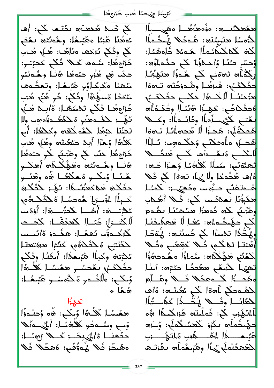المُومُ في المصرِّرة المُومَّة

ݣُمْ شَىكْ هُدْهْـتْ: مَثْتُـْمَا كُلّْ: أَفْ كَەھُلَّا ھَٰ;ئا ەھَبُعْلا: وِحَّەسُدە بِمَقْم كُمْ وِثْكُمْ نَاتَمْكَ مَنَاهُــٰ: هُــَٰٓىٰ هُــٰٓوَبِ كَرْوَهُا: مُـُـهِ لَمَــلاً فَكُــمٍ كَحَزِّتــر: حكَّ هِم هُنُرٍ حَمْمُطْ هُنَّا وِحُمَّدَنْبُو مِّھمُا مكْبِكْلُوبِ هُبُسُلًا: وِتَعَشَّـٰهَ مَّةتَا هَمهُةْا وِثَكَى: دُرِ هُزَى هُبْسَ دَّرُوهُـا ثَكُم لَمْمُعْـا: هَ/بِـمْ هُـزُو تَكَمَ لَمَدْ عَمَنُو هَكَفُشُمَوَّهِ وَلَا وَلَا تَتَثَلَّا حَزَهُا حَقَّهَ كَعْدَه وِحُكْفًا: أَبِ ݣْلَاهُ! وَهِمْٓا أَبِيهِ حِنْقَيْتُهِ وَهُنَّى هُدِبِ كَرَّوهُا هلَّ لَا وِهُنْكُ ۚ لَا كَرَ حَدْهُا هُنَّا وِهُءنُدَهَ هُمُؤُكْلُهُ أَهْلَا و هَسُـا وُلحُــوٖ هَـعكٰعُــا ۞ه وهَسُــو حثُكْ†ة شَكْكَعْزُنَــكُا: نَكِّـ: كَثُكْ†ة كَبِراًا لِمُؤْسِكِي هُوجِسًا وَحَدَّكَ وَهُورٍ ىْكْتِتْمْتْ: أَهْكْلْ كْحَتَّىْسْتْقَا: أَوْهَٰت لْالْحْسْــْمِلْ: كَحْــٰهُــٰ لِلْهُــٰـٰ كَلْـْـَــْـبِ ݣْلْانْسَوْقُ *تْ*ْعَصُّا: ھَنُّےوْ ہُ/تُسْس لْكَتَّتَبِ هَكْكُمُّە كَتَّتِرَا هِمَتْعَلَّا عْجْتِهْ وِكْبِلًا هَبْـعِكَا: أَحْتُـٰا وِقُـُـٰـ حثُلآــُىُ بِمُحِنُبِ مِمُسُــا لَلْأَــْهُا وۡكُــٰہِ: هَلَّاَشُــٰڡہِ هَٰـٰذُومنُــٰبِ هَٰہُـطَ:  $\bullet$   $\downarrow \bullet \bullet$ تحجزا همُسُل كَلَّـٰهُا وُلِّـكَـٰ ۚ هُء وُحِنَّـٰهِۥُا وْبٍ وِمُــوَحُـرٍ لِللَّهُـُـا: أَلَيْــوَلَمْلا حكْفِسُهِ مُسْلَمَ مَعْكُمْ مِنْ مِنْ الْمُحْمَدِّ. ەھٔىكْ; ئُىلا ۖ بُىُّەرُّفُى: ەۡعكَىلا ئَىلا

مَعْمَدِيْنَ مِنْ وَوْوِمِنُوْسَا وَهْمِيْنِ إِلَّا لِأَوْمِدُا هِنُومِيْتُوهِ: هُـوَهُلا لِمُـوَّـوِدًا لَاه لَاه مُدْهُنُواْ هُـومُه ذُاهِقَمَـٰا: وُحِمَّرِ دَعُنًا وَٱحْجَوَّا ۖ كُلِّ حَذَّءَاؤُهِ: لِكَةُ أَنْ أَمَّةٌ مَنْ لَكُمْ هُـوَٰزًا هِنَّهُۥُنَـٰا حثَكْتُرُ: قُـزهُـا وِهُـودُنُه تــهةا للأحسُل لَاحْدهُ! حكْبٍ حشَكْتَبُ وُحثَكُمْكَى: ``دَهِــُ;ا ﴿ وَنُسْـاا وِحُـدّےٰ اللّٰہَ لِمَّتَــعِ كَثَيْحَــأَه أَا وِدَّائَــمِلًا: وِكَـــلا فَعِنْهَاً): هُجِزًا لَّا هُجِماًنُا نَهِ وَا لْقَحَسَنَ وَلَوْدَكُمْ وَحَكْمُوهَا: تَسْلَمْلَا أَأَسْلَبَ ةَنفَسَّةَوَ كُلْسٍ هُنفُسِيلًا لَعْتَقَب: مَمْلًا لَكُمُمْا وَحَزَا دَه: ةُ/َ هَٰذُهُ مَا رَالٌ يَاْلَ لَـْ10 لَمْ شَلا الْمُماتَعُنَّمِ حَذَّە مَدَّكِيَّةَ: ݣُمْنَا مِحْبِوَٰنَا تَعَمَّكَـتَ لَكَنَ: ثَـكَلَّا أَهُـكَتِ وِهْزَمْهُ كَلُّه ثَمَّعْزًا هِمُعْنُدًا بِعُمْم أَكْبِ حِهَّىشُـه اه: عَعُـا لَّا شَعَهُمْتُنَا وِيَٰتُمَٰا تَمِسْلَ کُمْ حُسسُتُم: يُّةَحْلُ أَهْتِسْا لَمْكُم فُلا كَقِفُبِ مِثْلا لَّكُمُتُم شَرِيُّكُكُمُ : مُثَمَلُوَا مَحْـُمَدَهُوَّا تَعيْهَا خَنْمَم مَعْدَدًا حَدْرُه: أَسُلَّا وهُمسُ أَلْـ دَهَكُمْ فَــْمَا وِهُــأَمْ لِحَقُّدِمِكُمْ لِمُعَمَّلُ مِنْ يَعْمَدُو: 16% لاهَاسُه وشَــــلا هُـتَـــدُا حَدَّـــۃُا ا لْمَانَّهُ:بِ كُلْ: شُمَلُّىنْتُ فَـٰٓالِكُـٰدُا بُّهُ وَ حَمْحُه أَمَّ سَكْبَوْ لَاهِمَّمْكُمْ): وَخَزَه كَبُمِــدُا لِمَّــدُوبِ هَائِكَــــزبِ لاَ مَا مَا مِنْ الْمِرْ لِمُعْدَاتِهِ مِنْ الْمَرْسَدِينَ مِنْ الْمَرْسَدِينَ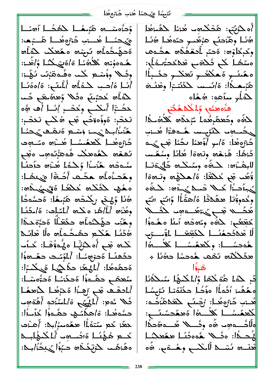المُومُ في المصرِّرة المُومَّة

وَحَزْهِ مَدْ هُ مَعْ الْمَعْدَلِ لَمْ اللَّهُ مَسْلًا لَهُ مَسْلًا مَحْمَدًا هُــزبِ كُرْوهُــا هَــْبِمَــْ كَاهِكُمْ مُكْتَمَّة مَعْتَكَ لَكَةَ الْمَارَةَ هُـ٥وُتُه لَلأُهُـُـا هُ/هَيْـكُـا وُ/هَٰـ: وثَــلا وؤُسْــع كُــد هفْــه¤ْزُبُ لُـهُــۃ: أَسُل هُ/حبِ لِكَمُلُه ٱلْمَنَّعِ: هَاهِهُنُـل لْحَمْلُه مُحَبَّبَ وَثَلا وَمِعْ هُمْ شَبْ كَب حكُــٰٓ;ا أَمثلبَ وكُحْــر إنـُـا أَف ﴿وَ لَحْشَرْ: هُوِؤُهُوَهُمْ هُمْ هُكُمْمٍ لَحْشَرْ: النصرز ككف مسته نسر مبانينه كَرْوَهُمَا كَعْمُسُمَا هُنْزُهِ مَمْسِوم ئعقم حقّەھك فُەھزُئەھە ەقْب مْــهدْده هَّنُــزُا وَحِـدُهُ هُــْرَه حرَّحنُـا وهَدِ أَنْ أَشْتُ مَدَّه مِلْهِ أَسْتَهَا: ەھْم لەڭلە ئىلەد ئەتنى ئەن، ھُنُا وَلِيُ رِيُكُدُه هُبُيمًا: هَٰحِشُوطُا وهُنْزَه أَلْمَاهُ: هَكْدَه أَلْمُبَلِّد: هَا مَكْنُل وهُّب حهُكُماً مكْقَلًا هَدْ، مَكْتَ ھُکُنا جُکُم حصَّحْداُہ ہلَّا مْلَکُ كُده هْبِ أُهْكُرُنَّا هِ ثُورُهَا: كَـرَّب حكَّهنُـا ەُحرَّەمُـا: ٱلمَرَّمُـْـد حَمَّـەووُّا هَحفَمعُدا: ٱلمهمَّز حكْمِها مَيكْمُ؛!: مَعْدَهُــم حقَّــهوُّا هُحكَّرْسُـا هُحتُّومْسَـا: ٱلمحقَّف هِي رُفِّ المَحْرَهُ الْمَحْمَد ثُلا نُوم: ٱلْمُهَٰجِ وَٱلْمُنَوْمِ ٱفْتَوْمِ حِسْمَعُدا: ةَ/هِكْمُعْهَد حَقَّـهِ وَالْكَرَّــرَّا: حعَّ: كَـع مَّتَدُلًّا هِـعُومِيٌّا، إِيَّا: أَهِـتَو كُمْ هُجُبُّا هَاتُمْ هَمْ أَلْمُحُواْبِ ەھَزْھَبْ خْتِرْخْتْرُو جَزْوَٰا كِبِحَنُّ ُابْتَدْ.

أُهِ كُرُبُّنِي: هُـْكُـدِهِ و هُـزْمُلْ كَـفَـُـزِهُٰلْ هُنُا وِهُٓزَهنَّع هُۥٕهَٚٮــوٖ همُهمَّـا هُنُـا وكَرِيْدَاوْھ: ەَحِيْرِ لِمُحَمَّدُهُ هِدَّےهَ مَمْعًا كُمْ ثَلَاهُمْ شَلَامَتْتَسَمُلَهِ: ەھّىئىر ةھڭگىر ئىنگىر جگىباًا هَبْمِـهْا: هَاسُــب لِكَتُسْبَرا وِهْسُـف لِكَمَٰلُو مِعْرَهُ: ﴿ هَٰلَا فأوهثم والمكالمصّ لِهُه وِحَعِمُوهُما تَبْعِلُه لَكُلُهُ لِمَا بِمَسْمِدٍ الْمُوَسِينِ الْمُسْتَمِنِ كَرْوِهُا: هَاس أَوْهِمُا بِحَمْا هُم جَيء كَرْهُا: كَرْحْمْه وِلْـْ30ْ هُالُا وِمُكَــْب للبقُـزْهِ: لِكَمْهِ وَمُمَكِّدِهِ كَايَحْقَاطِ وُهُم بِهِ مُكْتُلُهُ: هُ/هكُوْرُه وِتَـهِ وَا مَثْلُكُ الصَّارِ مُسَمَّدٌ مُسَمَّدٌ مِنْ انْسَانِسِ |وِكُدووُّنْا هِكُلاَتْا هُ/هِتُماْ الْمَرَاسُ الَّبْعِ كَفَكْسِ الْمَجْمَعِينِ وَسَبْنِ مِنْ مَسْتَمَعْهِ مِنْ مَسْتَمَعْهِ كَقِيقَي لِلْأَوْهِ وِمُحَدَّدَهِ أَمِثْلَ مَشَدَوُّا لًا مْدْكَحِمُنُـــا ۖ حْكَقِفْـــا ۖ اوْٓ ـــــرَب هُوصِيُدا: وكُعِمَّسُدا كُلُّدُهُ هكَكْلَاه نُهْعَا هُوصُلُ دَهُنُّا \* **ئگرؤا** دِّ هذا هُة حُقا وَالمَحْمَا سَحْدُنَا وهَقَىٰ: اُثْمَاْ! وَذُكَا حَكْنَهُ1ْ نَرُّمِسُا. لَّفْتَ وَأَوْوَهُمْا: رُضْعُمْ لِلْقَلَاهُ:ُدُّء: كَعِمَّسُا كَلَّكُ هُ أَمْعَهُ صَمَّدَ الْمَعَي ولَلْكُـــومِ وَهُو وِكُـــلا هَـــوهُحِمَّا لْهَدِيمًا: هَفْلا هُدَهْنُه هِهَهْمُهُمْ قنتسه سُسْم لَاسْمْبِ وِهُــْمَبٍ. ثَهُه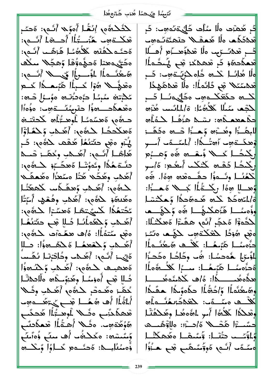لْمُفْلِّحُوهُ وَإِنَّقَا أُوَوِّيهِ أَنَّمِ: وَحَبّ هَكَــتومِ هُزُـــرُّا أَحــوهَا أَتَــوهِ: هُحنٌـه لحَفُنْـه ۖ لَلأُهُـُـا ۖ فَـزَهُــب ٱنـُـهِ: ەكتەھىما ەدۇھۇقا ۆھكىلا مىلگ رَمِحْتُ وَالْمُ الْمُوسِينَ الْمُحَمَّلَ الْمَصَدَّةَ: ەھم الى ئۆزا ئىبارا ھۇجىلى كى مَكْتِتَهُ مُنْبِسًا حَزْدَدْتُها دَوْسَرًا حْـه: ەھْھكاھىسەۋا ھىرىمى*ڭى*سقەھە: دۇداُا دەُە ، ئەھسەئىل لوھىتۇل كىنى ئى هُمكُحصًا لِحُدُّهِ: ٱهۡكُم ِ وَلِحُمَارَۚا يُنْوِ وَهْمٍ حِنْنَعُمْ هُـفَعِ لِـدَةُوبِ: كَـرِ هَاهَـا أَنُــم، أَهَـــمَبِ وِكُـمَـٰ: تَــــم دلُـتَمْمُاْ وِغُوُثْـا هُعجَـّزِ ۖ هُــُوُهِ; أهَٰكِ ومَحَكِدٍ هَتُلْ مَعْعَدُل مَعْصَدًا ﴾ لِحْدَةُهِ: أَهُكُمْبِ وُهِكُمْسٍ كَمْعَعَنْـا هَعُدهُوْ لِحَدُّهِ: أَهُدُبِ وِهُمْهِي أَسْتِنُا مَحَتمُمُ الْمَسْتِ مَعْشَرَ الْمُعْتَبَرَ : وَهُوَ مِنْ ٱهۡـٰه ۖ وۡ لِحۡعَٰمَلَٰنَـٰا ۖ صَٰلِا ۚ هَبۡ حَسَّنُهُـٰا ۖ 0هُم مِّتمُأَا: 16ه همَّــ٥أهـ لِــــوهُ٢٠ أَهْكِر وُكِمْعِمًا هَكْفَ وَذَا: حَبْلاً كَايِّ: أَشَم: أَهَّــهَـٰ وِحُاتَـٰزِنَـا نُـصَّــٰ ەُمدىقىد للىۋە فې قانۇ ئالدا ئايلىر صُلِلِ هَبِي أُدفِسُا وِهَٰذَوُسِكُلُهِ ۚ وَلَاحِظْنَـٰا كُكَّ; ەَهُـەتْـر كْـرُەْم أَهُـكْبِ وِثْـلا اُلْمَاثًا اُڪ ھُڪُل ھُڪِ جَمَّدُ ڪُمِ مِنَ الْمَمْلَكَمَّةِ مِنْ مْعِكْدَُبِ وَثَــلا ـأَوقِــۃُلُّا هُـَــدَّـب هَٰؤُهُّة وِ .. وَثَــٰلا أُهــٰٓةُ أَا شَعَلَاتَـٰبَ وِّمُمْسْلَاه: هگَلاَلُهُمَا اُفْ مِنَّعٍ وُّهَانِّکُمْ .<br>وْهِمْنُلْكِيا: هَجْسُمِع كَبَارُا وُخْلَــة

كُمْ هُجْرَت وَلَمْ سَالَمٍ وَاحِبَهُمْ مِنْ مَنْ مَنْ مَنْ مَنْ مَنْ مَنْ قُدْكُمُه هُلَّا هُمصْدًا حِلْعَنْقَاسُوهِ كُهر شَكْلُهُ عَلَّى وَلَّا شَكَّؤُهَدَ وَمَ أُهْلُلًا أَهْمَلَادَةَ ۚ وَ هُدَهَ مَدْ مَجْمٍ لَمُحَدَّدَاً وَلَا هُلِّلْ كَلِّهِ خَاهِكُوِّيَّةِ وَجِبَّةٍ وَجَبَّيَّةٍ مِنْ أَنْفُسِ ق*ْكَمْمُكْلا هْ*مِ كَانُمْلًا: ه<sup>ْ</sup>لَا هْكَمْكْلُمْ دَلَّا تك مكْتْݣُـــەمِب ەكْلّْكْسْمَا كَــــر لِّجْعِدِ مِمْثَلًا كَلَّاهُمْا: 15عَلَمْنِدِ هُنْزَو دْكَمْعْتَمْدْ: بِشْيَا هَزُقُنَا جَدْمَاهُ للبصُـزُا وهُــرْن وَحــزًا حَـــره هكَهَــز وُهِكْتُوهِ أَهْتُكُمُ الْمُكْتُفِ أَسْبِ وَكَبِحُمِ الْمَسْلا وَعْصَدِهِ بَهُهِ وَهِيءُم ريَّكْمُـا دُفْـه كَتْكُـد أَعفُـع: هَامْـو لْكَمُنُــا وِنُـــووُّا حـفُـــوهده هِوَا. ۞ه وُهلِ إِنَّ الْمَشْرَاءِ الْمَسْرَانِ: فالمتحكم كم هُدهُم الله وَحكْسًا وَوْهِ مُسْلِمٌ فَزَهَكُنَّ فَيَ أَهُو وَحَذَّبَ مِنْ لِكْمُوْٓا هُحِجٍّ أَنُو هِقَةٌا هُعكْتْلَا: وَهُم هُوَدًا لِلْقَلَاءَهِ لِلْهُم مَنْتِ أَذْوِمِنُما هُبُمُما: كُلْسُ هُ هُنْشُوماً الأَمَرُ لِمُحْمَدُا: شَا وَكَاكُمْ وَكُذَا وْدَوْمِنْكُمْ الْمُبْلُومْكُمْ بِمَاءَ الْكُلُّ وَقَامَا ا وَهَمَعُنُمَاْ وَاحُقُهُ الْحَكَمَوُمَاْ هَقَمَا كلآت منسئه: لمفكئ من المسلم وقلكُما كَلَّهُا أَس لِمُعْمَدِ وهَلَكْتُل دِسَتْ الْمَحْكَلا هَادِيْنَ وَلِلْوُهَبِ هِ وْلِمُؤْسَّبِ حَنُبْهِا: وَّمُبُيْهَا وَهُدِيْكُمْ إِ وْمَحْدَى أَنُـمٍ هُوقُمَّمْعَى هُو هُـرَّةُ |